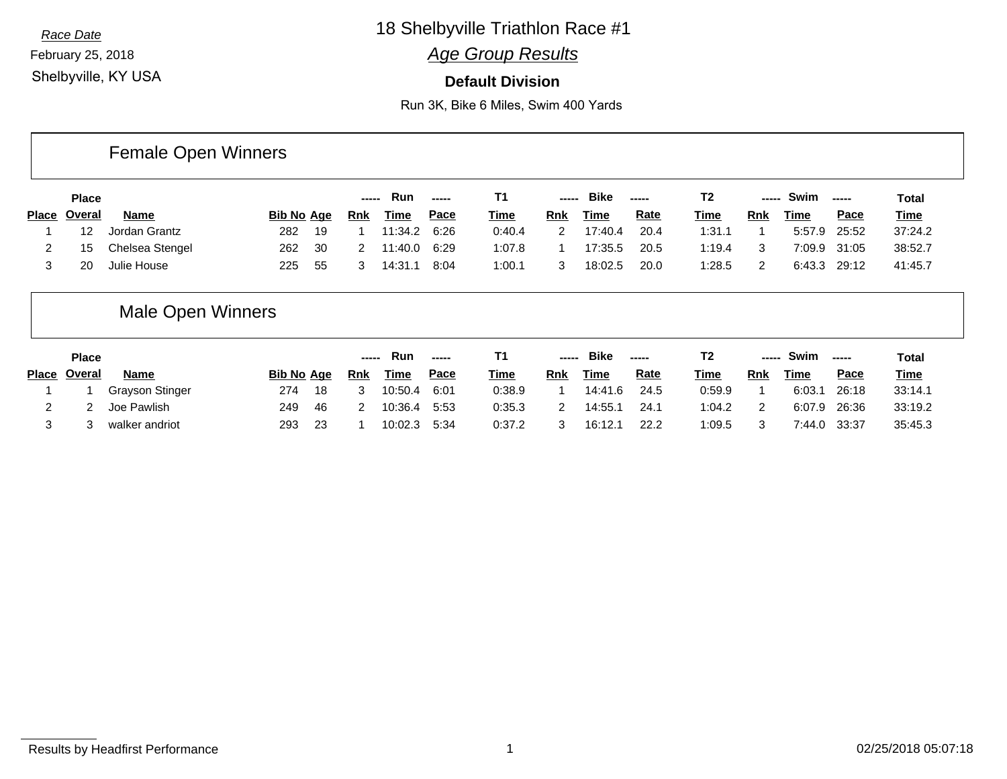February 25, 2018 Shelbyville, KY USA

Г

# *Race Date* 18 Shelbyville Triathlon Race #1

### *Age Group Results*

#### **Default Division**

Run 3K, Bike 6 Miles, Swim 400 Yards

|                     | <b>Female Open Winners</b> |                   |      |       |             |             |             |                                                      |             |             |             |       |              |                                                                                                                                                                                                                                                                                                                                                                                                                                                                                        |              |
|---------------------|----------------------------|-------------------|------|-------|-------------|-------------|-------------|------------------------------------------------------|-------------|-------------|-------------|-------|--------------|----------------------------------------------------------------------------------------------------------------------------------------------------------------------------------------------------------------------------------------------------------------------------------------------------------------------------------------------------------------------------------------------------------------------------------------------------------------------------------------|--------------|
| <b>Place</b>        |                            |                   |      | ----- | <b>Run</b>  | -----       | Τ1          | $\begin{array}{ccc} - & - & - \\ \hline \end{array}$ | <b>Bike</b> | -----       | T2          | ----- | Swim         | $\begin{array}{ccc} \multicolumn{3}{c}{} & \multicolumn{3}{c}{} & \multicolumn{3}{c}{} & \multicolumn{3}{c}{} & \multicolumn{3}{c}{} & \multicolumn{3}{c}{} & \multicolumn{3}{c}{} & \multicolumn{3}{c}{} & \multicolumn{3}{c}{} & \multicolumn{3}{c}{} & \multicolumn{3}{c}{} & \multicolumn{3}{c}{} & \multicolumn{3}{c}{} & \multicolumn{3}{c}{} & \multicolumn{3}{c}{} & \multicolumn{3}{c}{} & \multicolumn{3}{c}{} & \multicolumn{3}{c}{} & \multicolumn{3}{c}{} & \multicolumn$ | <b>Total</b> |
| Place <u>Overal</u> | Name                       | <b>Bib No Age</b> |      | Rnk   | <u>Time</u> | <u>Pace</u> | <b>Time</b> | Rnk                                                  | Time        | <u>Rate</u> | <u>Time</u> | Rnk   | Time         | <u>Pace</u>                                                                                                                                                                                                                                                                                                                                                                                                                                                                            | <b>Time</b>  |
| 12                  | Jordan Grantz              | 282               | - 19 |       | 11:34.2     | 6:26        | 0:40.4      |                                                      | 17:40.4     | 20.4        | 1:31.1      |       | 5:57.9 25:52 |                                                                                                                                                                                                                                                                                                                                                                                                                                                                                        | 37:24.2      |
| 15                  | <b>Chelsea Stengel</b>     | 262               | 30   | 2     | 11:40.0     | 6:29        | 1:07.8      |                                                      | 17:35.5     | 20.5        | 1:19.4      | 3     | 7:09.9 31:05 |                                                                                                                                                                                                                                                                                                                                                                                                                                                                                        | 38:52.7      |
| 20                  | Julie House                | 225               | -55  | 3     | 14:31.1     | 8:04        | 1:00.1      |                                                      | 18:02.5     | 20.0        | 1:28.5      | 2     | 6:43.3 29:12 |                                                                                                                                                                                                                                                                                                                                                                                                                                                                                        | 41:45.7      |

# Male Open Winners

| <b>Place</b>        |                 |                   |      | ----- | Run         | -----       |             | $\sim$ - $\sim$ - $\sim$ | <b>Bike</b> | $\sim$ - $\sim$ - $\sim$ |        | ----- | Swim   | ------      | Total       |
|---------------------|-----------------|-------------------|------|-------|-------------|-------------|-------------|--------------------------|-------------|--------------------------|--------|-------|--------|-------------|-------------|
| Place <u>Overal</u> | <b>Name</b>     | <b>Bib No Age</b> |      | Rnk   | <b>Time</b> | <u>Pace</u> | <b>Time</b> | Rnk                      | <u>Time</u> | <u>Rate</u>              | Time   | Rnk   | Time   | <u>Pace</u> | <u>Time</u> |
|                     | Grayson Stinger | 274               | 18   |       | 10:50.4     | 6:01        | 0:38.9      |                          | 14:41.6     | 24.5                     | 0:59.9 |       | 6:03.1 | 26:18       | 33:14.1     |
|                     | Joe Pawlish     | 249               | - 46 |       | 10:36.4     | 5:53        | 0:35.3      |                          | 14:55.7     | 24.1                     | 1:04.2 | 2     | 6:07.9 | 26:36       | 33:19.2     |
|                     | walker andriot  | 293               | 23   |       | 10:02.3     | 5:34        | 0:37.2      |                          | 16:12.1     | 22.2                     | 0.5    | 3     | 7:44.0 | 33:37       | 35:45.3     |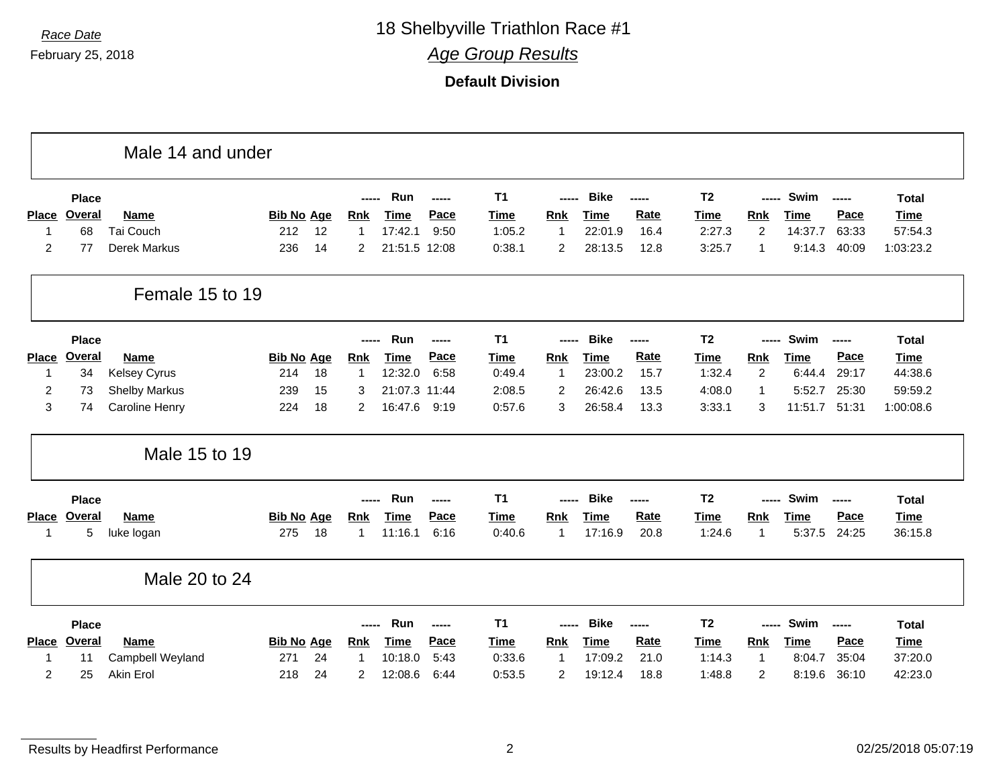February 25, 2018

*Race Date* 18 Shelbyville Triathlon Race #1 *Age Group Results*

|                |               | Male 14 and under     |                   |                |               |       |                |                |             |       |                |                |             |       |              |
|----------------|---------------|-----------------------|-------------------|----------------|---------------|-------|----------------|----------------|-------------|-------|----------------|----------------|-------------|-------|--------------|
|                | <b>Place</b>  |                       |                   | -----          | Run           | ----- | T <sub>1</sub> | -----          | <b>Bike</b> | ----- | T <sub>2</sub> | -----          | Swim        | $-$   | <b>Total</b> |
| <b>Place</b>   | <b>Overal</b> | Name                  | <b>Bib No Age</b> | <b>Rnk</b>     | <b>Time</b>   | Pace  | <b>Time</b>    | Rnk            | <b>Time</b> | Rate  | <b>Time</b>    | <b>Rnk</b>     | <b>Time</b> | Pace  | <b>Time</b>  |
| -1             | 68            | Tai Couch             | 12<br>212         |                | 17:42.1       | 9:50  | 1:05.2         | $\overline{1}$ | 22:01.9     | 16.4  | 2:27.3         | $\overline{2}$ | 14:37.7     | 63:33 | 57:54.3      |
| $\overline{2}$ | 77            | Derek Markus          | 236<br>14         | 2              | 21:51.5 12:08 |       | 0:38.1         | $\overline{2}$ | 28:13.5     | 12.8  | 3:25.7         | 1              | 9:14.3      | 40:09 | 1:03:23.2    |
|                |               | Female 15 to 19       |                   |                |               |       |                |                |             |       |                |                |             |       |              |
|                | <b>Place</b>  |                       |                   |                | Run           | ----- | T <sub>1</sub> | -----          | <b>Bike</b> | ----- | T <sub>2</sub> | -----          | Swim        | ----- | <b>Total</b> |
| <b>Place</b>   | <b>Overal</b> | Name                  | <b>Bib No Age</b> | <b>Rnk</b>     | <b>Time</b>   | Pace  | <b>Time</b>    | Rnk            | <b>Time</b> | Rate  | <b>Time</b>    | Rnk            | <b>Time</b> | Pace  | <b>Time</b>  |
| $\mathbf 1$    | 34            | Kelsey Cyrus          | 18<br>214         | $\mathbf{1}$   | 12:32.0       | 6:58  | 0:49.4         | $\mathbf{1}$   | 23:00.2     | 15.7  | 1:32.4         | $\overline{2}$ | 6:44.4      | 29:17 | 44:38.6      |
| 2              | 73            | <b>Shelby Markus</b>  | 239<br>15         | 3              | 21:07.3 11:44 |       | 2:08.5         | 2              | 26:42.6     | 13.5  | 4:08.0         | $\mathbf{1}$   | 5:52.7      | 25:30 | 59:59.2      |
| 3              | 74            | <b>Caroline Henry</b> | 18<br>224         | $\overline{2}$ | 16:47.6       | 9:19  | 0:57.6         | 3              | 26:58.4     | 13.3  | 3:33.1         | 3              | 11:51.7     | 51:31 | 1:00:08.6    |
|                |               | Male 15 to 19         |                   |                |               |       |                |                |             |       |                |                |             |       |              |
|                | <b>Place</b>  |                       |                   |                | Run           | ----- | T <sub>1</sub> |                | <b>Bike</b> | ----- | T <sub>2</sub> | -----          | Swim        | ----- | <b>Total</b> |
|                | Place Overal  | Name                  | <b>Bib No Age</b> | <b>Rnk</b>     | <b>Time</b>   | Pace  | <b>Time</b>    | <b>Rnk</b>     | <b>Time</b> | Rate  | <b>Time</b>    | <b>Rnk</b>     | <b>Time</b> | Pace  | <b>Time</b>  |
| -1             | 5             | luke logan            | 18<br>275         | 1              | 11:16.1       | 6:16  | 0:40.6         | $\overline{1}$ | 17:16.9     | 20.8  | 1:24.6         | $\mathbf{1}$   | 5:37.5      | 24:25 | 36:15.8      |
|                |               | Male 20 to 24         |                   |                |               |       |                |                |             |       |                |                |             |       |              |
|                | <b>Place</b>  |                       |                   | -----          | Run           | ----- | <b>T1</b>      | -----          | <b>Bike</b> | ----- | T <sub>2</sub> | -----          | Swim        | ----- | <b>Total</b> |
| <b>Place</b>   | Overal        | Name                  | <b>Bib No Age</b> | <b>Rnk</b>     | <b>Time</b>   | Pace  | <b>Time</b>    | <b>Rnk</b>     | <b>Time</b> | Rate  | <b>Time</b>    | Rnk            | <b>Time</b> | Pace  | <b>Time</b>  |
| -1             | 11            | Campbell Weyland      | 24<br>271         |                | 10:18.0       | 5:43  | 0:33.6         | $\overline{1}$ | 17:09.2     | 21.0  | 1:14.3         | 1              | 8:04.7      | 35:04 | 37:20.0      |
| $\overline{2}$ | 25            | Akin Erol             | 24<br>218         | $\overline{2}$ | 12:08.6       | 6:44  | 0:53.5         | $\overline{2}$ | 19:12.4     | 18.8  | 1:48.8         | $\overline{c}$ | 8:19.6      | 36:10 | 42:23.0      |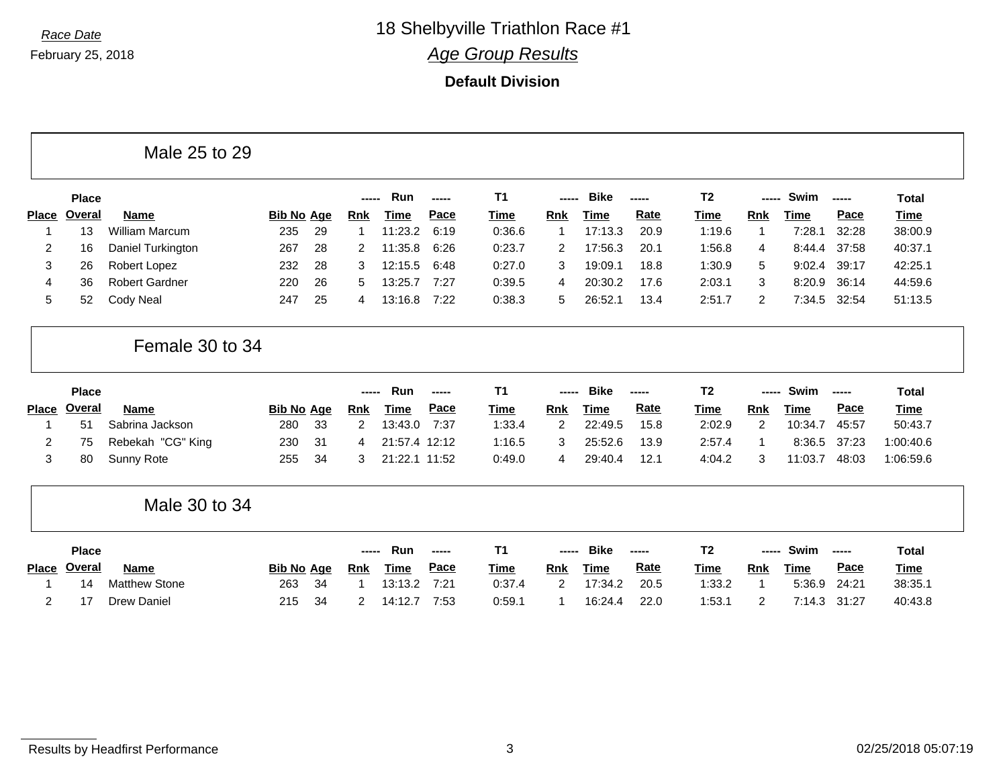**Default Division**

|                |              | Male 25 to 29         |                   |    |                |               |        |                |                |             |             |                |                |             |       |              |
|----------------|--------------|-----------------------|-------------------|----|----------------|---------------|--------|----------------|----------------|-------------|-------------|----------------|----------------|-------------|-------|--------------|
|                | <b>Place</b> |                       |                   |    | -----          | Run           | ------ | T <sub>1</sub> | -----          | <b>Bike</b> | ------      | T <sub>2</sub> | -----          | Swim        | ----- | <b>Total</b> |
| <b>Place</b>   | Overal       | <b>Name</b>           | <b>Bib No Age</b> |    | <b>Rnk</b>     | Time          | Pace   | <b>Time</b>    | <b>Rnk</b>     | <b>Time</b> | Rate        | <b>Time</b>    | <b>Rnk</b>     | <u>Time</u> | Pace  | <b>Time</b>  |
| 1              | 13           | <b>William Marcum</b> | 235               | 29 | -1             | 11:23.2       | 6:19   | 0:36.6         | 1              | 17:13.3     | 20.9        | 1:19.6         | 1              | 7:28.1      | 32:28 | 38:00.9      |
| $\overline{c}$ | 16           | Daniel Turkington     | 267               | 28 | 2              | 11:35.8       | 6:26   | 0:23.7         | 2              | 17:56.3     | 20.1        | 1:56.8         | 4              | 8:44.4      | 37:58 | 40:37.1      |
| 3              | 26           | Robert Lopez          | 232               | 28 | 3              | 12:15.5       | 6:48   | 0:27.0         | 3              | 19:09.1     | 18.8        | 1:30.9         | 5              | 9:02.4      | 39:17 | 42:25.1      |
| 4              | 36           | <b>Robert Gardner</b> | 220               | 26 | 5              | 13:25.7       | 7:27   | 0:39.5         | 4              | 20:30.2     | 17.6        | 2:03.1         | 3              | 8:20.9      | 36:14 | 44:59.6      |
| 5              | 52           | Cody Neal             | 247               | 25 | 4              | 13:16.8       | 7:22   | 0:38.3         | 5              | 26:52.1     | 13.4        | 2:51.7         | 2              | 7:34.5      | 32:54 | 51:13.5      |
|                |              | Female 30 to 34       |                   |    |                |               |        |                |                |             |             |                |                |             |       |              |
|                | <b>Place</b> |                       |                   |    | -----          | Run           | ------ | T <sub>1</sub> |                | <b>Bike</b> | ------      | T <sub>2</sub> | -----          | Swim        | ----- | <b>Total</b> |
| <b>Place</b>   | Overal       | <b>Name</b>           | <b>Bib No Age</b> |    | <b>Rnk</b>     | Time          | Pace   | <b>Time</b>    | <b>Rnk</b>     | Time        | <b>Rate</b> | Time           | <b>Rnk</b>     | Time        | Pace  | <b>Time</b>  |
|                | 51           | Sabrina Jackson       | 280               | 33 | $\overline{2}$ | 13:43.0       | 7:37   | 1:33.4         | $\overline{c}$ | 22:49.5     | 15.8        | 2:02.9         | $\overline{2}$ | 10:34.7     | 45:57 | 50:43.7      |
| 2              | 75           | Rebekah "CG" King     | 230               | 31 | 4              | 21:57.4 12:12 |        | 1:16.5         | 3              | 25:52.6     | 13.9        | 2:57.4         | $\mathbf{1}$   | 8:36.5      | 37:23 | 1:00:40.6    |
| 3              | 80           | Sunny Rote            | 255               | 34 | 3              | 21:22.1 11:52 |        | 0:49.0         | 4              | 29:40.4     | 12.1        | 4:04.2         | 3              | 11:03.7     | 48:03 | 1:06:59.6    |
|                |              | Male 30 to 34         |                   |    |                |               |        |                |                |             |             |                |                |             |       |              |
|                | <b>Place</b> |                       |                   |    | -----          | Run           |        | T <sub>1</sub> |                | <b>Bike</b> | -----       | T <sub>2</sub> | -----          | Swim        |       | <b>Total</b> |
| <b>Place</b>   | Overal       | <b>Name</b>           | <b>Bib No Age</b> |    | <b>Rnk</b>     | <b>Time</b>   | Pace   | <b>Time</b>    | <b>Rnk</b>     | <b>Time</b> | Rate        | <b>Time</b>    | <b>Rnk</b>     | <b>Time</b> | Pace  | <b>Time</b>  |
|                | 14           | <b>Matthew Stone</b>  | 263               | 34 | -1             | 13:13.2       | 7:21   | 0:37.4         | $\overline{c}$ | 17:34.2     | 20.5        | 1:33.2         | -1             | 5:36.9      | 24:21 | 38:35.1      |
| 2              | 17           | <b>Drew Daniel</b>    | 215               | 34 | 2              | 14:12.7       | 7:53   | 0:59.1         | 1              | 16:24.4     | 22.0        | 1:53.1         | $\overline{2}$ | 7:14.3      | 31:27 | 40:43.8      |

Results by Headfirst Performance **3** 02/25/2018 05:07:19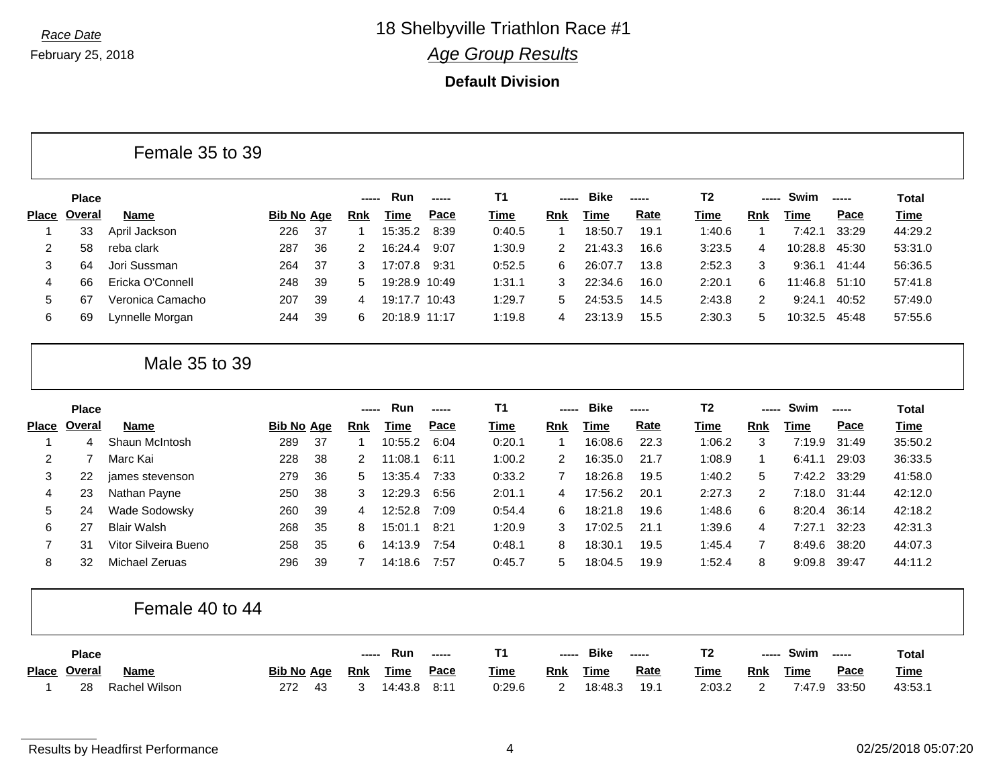**Default Division**

| Female 35 to 39 |  |  |  |
|-----------------|--|--|--|
|-----------------|--|--|--|

|              | <b>Place</b> |                  |            |     | ----- | <b>Run</b>    | $\frac{1}{2}$ | Τ1          | ------ | <b>Bike</b> | $- - - - -$ | Τ2     | ----- | Swim    | $\begin{array}{ccc} \multicolumn{3}{c}{} & \multicolumn{3}{c}{} & \multicolumn{3}{c}{} & \multicolumn{3}{c}{} & \multicolumn{3}{c}{} & \multicolumn{3}{c}{} & \multicolumn{3}{c}{} & \multicolumn{3}{c}{} & \multicolumn{3}{c}{} & \multicolumn{3}{c}{} & \multicolumn{3}{c}{} & \multicolumn{3}{c}{} & \multicolumn{3}{c}{} & \multicolumn{3}{c}{} & \multicolumn{3}{c}{} & \multicolumn{3}{c}{} & \multicolumn{3}{c}{} & \multicolumn{3}{c}{} & \multicolumn{3}{c}{} & \multicolumn$ | Total       |
|--------------|--------------|------------------|------------|-----|-------|---------------|---------------|-------------|--------|-------------|-------------|--------|-------|---------|----------------------------------------------------------------------------------------------------------------------------------------------------------------------------------------------------------------------------------------------------------------------------------------------------------------------------------------------------------------------------------------------------------------------------------------------------------------------------------------|-------------|
| <b>Place</b> | Overal       | <b>Name</b>      | Bib No Age |     | Rnk   | Time          | <u>Pace</u>   | <u>Time</u> | Rnk    | Time        | <u>Rate</u> | Time   | Rnk   | Time    | Pace                                                                                                                                                                                                                                                                                                                                                                                                                                                                                   | <u>Time</u> |
|              | 33           | April Jackson    | 226        | -37 |       | 15:35.2       | 8:39          | 0:40.5      |        | 18:50.7     | 19.1        | 1:40.6 |       | 7:42.1  | 33:29                                                                                                                                                                                                                                                                                                                                                                                                                                                                                  | 44:29.2     |
|              | 58           | reba clark       | 287        | 36  |       | 16:24.4       | 9:07          | 1:30.9      |        | 21:43.3     | 16.6        | 3:23.5 | 4     | 10:28.8 | 45:30                                                                                                                                                                                                                                                                                                                                                                                                                                                                                  | 53:31.0     |
| 3            | 64           | Jori Sussman     | 264        | -37 |       | 17:07.8       | 9:31          | 0:52.5      | 6      | 26:07.7     | 13.8        | 2:52.3 | 3     | 9:36.1  | 41:44                                                                                                                                                                                                                                                                                                                                                                                                                                                                                  | 56:36.5     |
| 4            | 66           | Ericka O'Connell | 248        | 39  | 5.    | 19:28.9 10:49 |               | 1:31.1      | 3      | 22:34.6     | 16.0        | 2:20.1 | 6     | 11:46.8 | 51:10                                                                                                                                                                                                                                                                                                                                                                                                                                                                                  | 57:41.8     |
| 5            | 67           | Veronica Camacho | 207        | 39  | 4     | 19:17.7 10:43 |               | 1:29.7      | 5      | 24:53.5     | 14.5        | 2:43.8 | 2     | 9:24.1  | 40:52                                                                                                                                                                                                                                                                                                                                                                                                                                                                                  | 57:49.0     |
| 6            | 69           | Lynnelle Morgan  | 244        | 39  | 6     | 20:18.9 11:17 |               | 1:19.8      | 4      | 23:13.9     | 15.5        | 2:30.3 | 5     | 10:32.5 | 45:48                                                                                                                                                                                                                                                                                                                                                                                                                                                                                  | 57:55.6     |

### Male 35 to 39

|       | <b>Place</b> |                      |                   |     | ----- | <b>Run</b> | ----- | <b>T1</b> | -----      | <b>Bike</b> | ------ | T <sub>2</sub> | ------ | Swim         | $\begin{array}{cccccccccccccc} \multicolumn{2}{c}{} & \multicolumn{2}{c}{} & \multicolumn{2}{c}{} & \multicolumn{2}{c}{} & \multicolumn{2}{c}{} & \multicolumn{2}{c}{} & \multicolumn{2}{c}{} & \multicolumn{2}{c}{} & \multicolumn{2}{c}{} & \multicolumn{2}{c}{} & \multicolumn{2}{c}{} & \multicolumn{2}{c}{} & \multicolumn{2}{c}{} & \multicolumn{2}{c}{} & \multicolumn{2}{c}{} & \multicolumn{2}{c}{} & \multicolumn{2}{c}{} & \multicolumn{2}{c}{} & \multicolumn{2}{c}{} & \$ | Total   |
|-------|--------------|----------------------|-------------------|-----|-------|------------|-------|-----------|------------|-------------|--------|----------------|--------|--------------|----------------------------------------------------------------------------------------------------------------------------------------------------------------------------------------------------------------------------------------------------------------------------------------------------------------------------------------------------------------------------------------------------------------------------------------------------------------------------------------|---------|
| Place | Overal       | Name                 | <u>Bib No Age</u> |     | Rnk   | Time       | Pace  | Time      | <b>Rnk</b> | Time        | Rate   | Time           | Rnk    | Time         | Pace                                                                                                                                                                                                                                                                                                                                                                                                                                                                                   | Time    |
|       | 4            | Shaun McIntosh       | 289               | -37 |       | 10:55.2    | 6:04  | 0:20.1    |            | 16:08.6     | 22.3   | 1:06.2         | 3      | 7:19.9       | 31:49                                                                                                                                                                                                                                                                                                                                                                                                                                                                                  | 35:50.2 |
|       |              | Marc Kai             | 228               | -38 |       | 11:08.1    | 6:11  | 1:00.2    | 2          | 16:35.0     | 21.7   | 1:08.9         |        | 6:41.1       | 29:03                                                                                                                                                                                                                                                                                                                                                                                                                                                                                  | 36:33.5 |
| 3     | 22           | james stevenson      | 279               | 36  | 5.    | 13:35.4    | 7:33  | 0:33.2    |            | 18:26.8     | 19.5   | 1:40.2         | 5      | 7:42.2 33:29 |                                                                                                                                                                                                                                                                                                                                                                                                                                                                                        | 41:58.0 |
| 4     | 23           | Nathan Payne         | 250               | -38 | 3     | 12:29.3    | 6:56  | 2:01.1    | 4          | 17:56.2     | 20.1   | 2:27.3         | 2      | 7:18.0 31:44 |                                                                                                                                                                                                                                                                                                                                                                                                                                                                                        | 42:12.0 |
| 5     | 24           | Wade Sodowsky        | 260               | -39 | 4     | 12:52.8    | 7:09  | 0:54.4    | 6          | 18:21.8     | 19.6   | 1:48.6         | 6      | 8:20.4       | 36:14                                                                                                                                                                                                                                                                                                                                                                                                                                                                                  | 42:18.2 |
| 6     | 27           | <b>Blair Walsh</b>   | 268               | 35  | 8     | 15:01.1    | 8:21  | 1:20.9    | 3          | 17:02.5     | 21.1   | 1:39.6         | 4      | 7:27.1       | 32:23                                                                                                                                                                                                                                                                                                                                                                                                                                                                                  | 42:31.3 |
|       | 31           | Vitor Silveira Bueno | 258               | 35  | 6.    | 14:13.9    | 7:54  | 0:48.1    | 8          | 18:30.1     | 19.5   | 1:45.4         |        | 8:49.6       | 38:20                                                                                                                                                                                                                                                                                                                                                                                                                                                                                  | 44:07.3 |
| 8     | 32           | Michael Zeruas       | 296               | 39  |       | 14:18.6    | 7:57  | 0:45.7    | 5          | 18:04.5     | 19.9   | 1:52.4         | 8      | 9:09.8       | 39:47                                                                                                                                                                                                                                                                                                                                                                                                                                                                                  | 44:11.2 |

#### Female 40 to 44

| <b>Place</b> |               |                   |     |            | Run         | $\frac{1}{2}$ |             | $\begin{array}{c} \multicolumn{3}{c} {\textbf{1}} & \multicolumn{3}{c} {\textbf{1}} & \multicolumn{3}{c} {\textbf{1}} \\ \multicolumn{3}{c} {\textbf{2}} & \multicolumn{3}{c} {\textbf{3}} & \multicolumn{3}{c} {\textbf{4}} \\ \multicolumn{3}{c} {\textbf{4}} & \multicolumn{3}{c} {\textbf{5}} & \multicolumn{3}{c} {\textbf{6}} \\ \multicolumn{3}{c} {\textbf{5}} & \multicolumn{3}{c} {\textbf{6}} & \multicolumn{3}{c} {\textbf{6}} \\ \multicolumn{3}{c} {\textbf{6}} & \multicolumn{$ | <b>Bike</b> | $\frac{1}{2}$ |             | ----- | Swim        | -----       | Total       |
|--------------|---------------|-------------------|-----|------------|-------------|---------------|-------------|------------------------------------------------------------------------------------------------------------------------------------------------------------------------------------------------------------------------------------------------------------------------------------------------------------------------------------------------------------------------------------------------------------------------------------------------------------------------------------------------|-------------|---------------|-------------|-------|-------------|-------------|-------------|
| Place Overal | <b>Name</b>   | <b>Bib No Age</b> |     | <u>Rnk</u> | <b>Time</b> | <u>Pace</u>   | <u>Time</u> | Rnk                                                                                                                                                                                                                                                                                                                                                                                                                                                                                            | <u>Time</u> | <u>Rate</u>   | <u>Time</u> | Rnk   | <u>Time</u> | <u>Pace</u> | <b>Time</b> |
| 28           | Rachel Wilson | 272               | -43 |            | 14:43.8     | 8:11          | 0:29.6      |                                                                                                                                                                                                                                                                                                                                                                                                                                                                                                | 18:48.3     | 19.1          | 2:03.2      | -     | 7.47.9      | 33:50       | 43:53.      |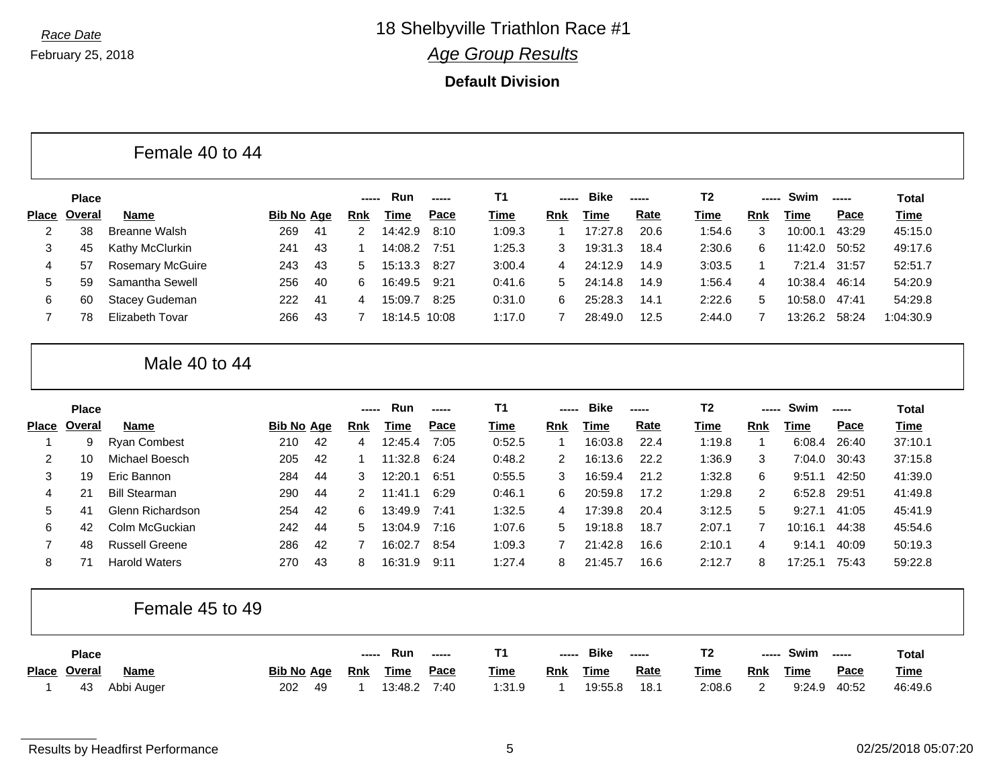**Default Division**

|                | <b>Place</b> |                         |                   |     |            | Run           | -----       | <b>T1</b> | ------         | <b>Bike</b> | -----       | T <sub>2</sub> | -----          | Swim          | $\frac{1}{2}$ | <b>Total</b> |
|----------------|--------------|-------------------------|-------------------|-----|------------|---------------|-------------|-----------|----------------|-------------|-------------|----------------|----------------|---------------|---------------|--------------|
| <b>Place</b>   | Overal       | <b>Name</b>             | <b>Bib No Age</b> |     | <b>Rnk</b> | Time          | <u>Pace</u> | Time      | Rnk            | Time        | <b>Rate</b> | Time           | Rnk            | Time          | Pace          | Time         |
| 2              | 38           | <b>Breanne Walsh</b>    | 269               | -41 | 2          | 14:42.9       | 8:10        | 1:09.3    |                | 17:27.8     | 20.6        | 1:54.6         | 3              | 10:00.1       | 43:29         | 45:15.0      |
| 3              | 45           | Kathy McClurkin         | 241               | 43  |            | 14:08.2       | 7:51        | 1:25.3    | 3              | 19:31.3     | 18.4        | 2:30.6         | 6.             | 11:42.0       | 50:52         | 49:17.6      |
| 4              | 57           | <b>Rosemary McGuire</b> | 243               | 43  | 5          | 15:13.3       | 8:27        | 3:00.4    | $\overline{4}$ | 24:12.9     | 14.9        | 3:03.5         |                |               | 7:21.4 31:57  | 52:51.7      |
| 5              | 59           | Samantha Sewell         | 256               | 40  | 6          | 16:49.5       | 9:21        | 0:41.6    | 5              | 24:14.8     | 14.9        | 1:56.4         | $\overline{4}$ | 10:38.4 46:14 |               | 54:20.9      |
| 6              | 60           | Stacey Gudeman          | 222               | 41  | 4          | 15:09.7       | 8:25        | 0:31.0    | 6.             | 25:28.3     | 14.1        | 2:22.6         | 5.             | 10:58.0       | 47:41         | 54:29.8      |
| $\overline{7}$ | 78           | <b>Elizabeth Tovar</b>  | 266               | 43  |            | 18:14.5 10:08 |             | 1:17.0    |                | 28:49.0     | 12.5        | 2:44.0         | 7              | 13:26.2 58:24 |               | 1:04:30.9    |

|       | <b>Place</b>   |                       |            |     | ----- | <b>Run</b> | $\begin{array}{c} \multicolumn{3}{c} {\textbf{1}} & \multicolumn{3}{c} {\textbf{2}} & \multicolumn{3}{c} {\textbf{3}} & \multicolumn{3}{c} {\textbf{4}} \\ \multicolumn{3}{c} {\textbf{5}} & \multicolumn{3}{c} {\textbf{6}} & \multicolumn{3}{c} {\textbf{7}} & \multicolumn{3}{c} {\textbf{8}} & \multicolumn{3}{c} {\textbf{9}} \\ \multicolumn{3}{c} {\textbf{1}} & \multicolumn{3}{c} {\textbf{1}} & \multicolumn{3}{c} {\textbf{1}} & \multicolumn{3}{c} {\textbf{1}} & \multicolumn{$ | <b>T1</b>   | ----- | <b>Bike</b> |             | T2     | ----- | Swim    |       | Total   |
|-------|----------------|-----------------------|------------|-----|-------|------------|----------------------------------------------------------------------------------------------------------------------------------------------------------------------------------------------------------------------------------------------------------------------------------------------------------------------------------------------------------------------------------------------------------------------------------------------------------------------------------------------|-------------|-------|-------------|-------------|--------|-------|---------|-------|---------|
| Place | Overal         | Name                  | Bib No Age |     | Rnk   | Time       | Pace                                                                                                                                                                                                                                                                                                                                                                                                                                                                                         | <u>Time</u> | Rnk   | Time        | <u>Rate</u> | Time   | Rnk   | Time    | Pace  | Time    |
|       | 9              | <b>Ryan Combest</b>   | 210        | -42 | 4     | 12:45.4    | 7:05                                                                                                                                                                                                                                                                                                                                                                                                                                                                                         | 0:52.5      |       | 16:03.8     | 22.4        | 1:19.8 |       | 6:08.4  | 26:40 | 37:10.1 |
|       | 10             | Michael Boesch        | 205        | 42  |       | 11:32.8    | 6:24                                                                                                                                                                                                                                                                                                                                                                                                                                                                                         | 0:48.2      | 2     | 16:13.6     | 22.2        | 1:36.9 | 3     | 7:04.0  | 30:43 | 37:15.8 |
| 3     | 19             | Eric Bannon           | 284        | 44  | 3     | 12:20.1    | 6:51                                                                                                                                                                                                                                                                                                                                                                                                                                                                                         | 0:55.5      | 3     | 16:59.4     | 21.2        | 1:32.8 | 6     | 9:51    | 42:50 | 41:39.0 |
| 4     | 21             | <b>Bill Stearman</b>  | 290        | -44 | 2     | 11:41.1    | 6:29                                                                                                                                                                                                                                                                                                                                                                                                                                                                                         | 0:46.1      | 6     | 20:59.8     | 17.2        | 1:29.8 | 2     | 6:52.8  | 29:51 | 41:49.8 |
| 5     | 4 <sup>1</sup> | Glenn Richardson      | 254        | 42  | 6     | 13:49.9    | 7:41                                                                                                                                                                                                                                                                                                                                                                                                                                                                                         | 1:32.5      | 4     | 17:39.8     | 20.4        | 3:12.5 | 5     | 9:27.1  | 41:05 | 45:41.9 |
| 6     | 42             | Colm McGuckian        | 242        | 44  | 5.    | 13:04.9    | 7:16                                                                                                                                                                                                                                                                                                                                                                                                                                                                                         | 1:07.6      | 5     | 19:18.8     | 18.7        | 2:07.1 |       | 10:16.1 | 44:38 | 45:54.6 |
|       | 48             | <b>Russell Greene</b> | 286        | -42 |       | 16:02.7    | 8:54                                                                                                                                                                                                                                                                                                                                                                                                                                                                                         | 1:09.3      |       | 21:42.8     | 16.6        | 2:10.1 | 4     | 9:14.1  | 40:09 | 50:19.3 |
| 8     |                | <b>Harold Waters</b>  | 270        | 43  | 8     | 16:31.9    | 9:11                                                                                                                                                                                                                                                                                                                                                                                                                                                                                         | 1:27.4      | 8     | 21:45.7     | 16.6        | 2:12.7 | 8     | 17:25.1 | 75:43 | 59:22.8 |

### Female 45 to 49

| <b>Place</b> |             |                   |      | $\frac{1}{2}$ | Run         | $\begin{array}{c} \n\text{---} \n\end{array}$ |             | ----- | <b>Bike</b> | -----       |             |            | Swim        | ------      | Total       |
|--------------|-------------|-------------------|------|---------------|-------------|-----------------------------------------------|-------------|-------|-------------|-------------|-------------|------------|-------------|-------------|-------------|
| Place Overal | <b>Name</b> | <b>Bib No Age</b> |      | <u>Rnk</u>    | <u>Time</u> | <u>Pace</u>                                   | <u>Time</u> | Rnk   | <u>Time</u> | <b>Rate</b> | <u>Time</u> | <u>Rnk</u> | <u>Time</u> | <u>Pace</u> | <u>Time</u> |
| 43           | Abbi Auger  | 202               | - 49 |               | 13:48.2     | 7:40                                          | 1:31.9      |       | 19:55.8     | 18.1        | 2:08.6      |            | 9:24.9      | 40:52       | 46:49.6     |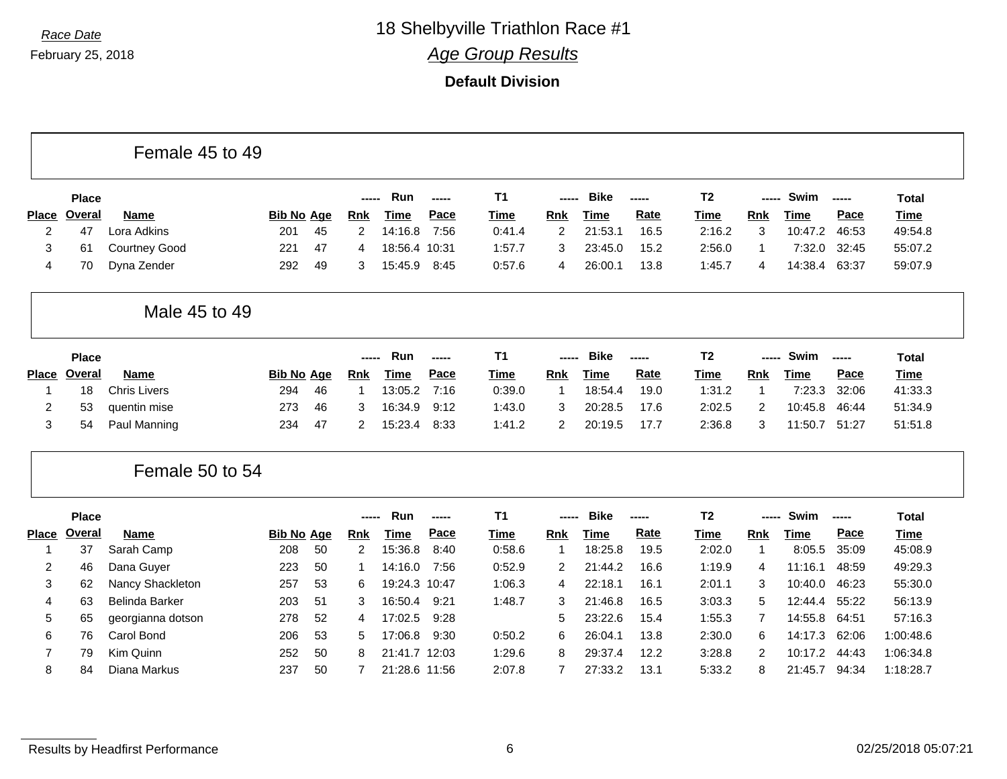February 25, 2018

*Race Date* 18 Shelbyville Triathlon Race #1

*Age Group Results*

|                |               | Female 45 to 49       |                   |    |                |               |       |                |                |             |             |                |                |             |        |              |
|----------------|---------------|-----------------------|-------------------|----|----------------|---------------|-------|----------------|----------------|-------------|-------------|----------------|----------------|-------------|--------|--------------|
|                | <b>Place</b>  |                       |                   |    | -----          | Run           | ----- | T <sub>1</sub> | -----          | <b>Bike</b> | -----       | T <sub>2</sub> | -----          | Swim        | -----  | <b>Total</b> |
| <b>Place</b>   | Overal        | <b>Name</b>           | <b>Bib No Age</b> |    | <b>Rnk</b>     | <b>Time</b>   | Pace  | <b>Time</b>    | <b>Rnk</b>     | <b>Time</b> | <b>Rate</b> | <b>Time</b>    | Rnk            | <b>Time</b> | Pace   | <b>Time</b>  |
| 2              | 47            | Lora Adkins           | 201               | 45 | $\overline{2}$ | 14:16.8       | 7:56  | 0:41.4         | 2              | 21:53.1     | 16.5        | 2:16.2         | 3              | 10:47.2     | 46:53  | 49:54.8      |
| 3              | 61            | <b>Courtney Good</b>  | 221               | 47 | 4              | 18:56.4 10:31 |       | 1:57.7         | 3              | 23:45.0     | 15.2        | 2:56.0         | -1             | 7:32.0      | 32:45  | 55:07.2      |
| 4              | 70            | Dyna Zender           | 292               | 49 | 3              | 15:45.9       | 8:45  | 0:57.6         | 4              | 26:00.1     | 13.8        | 1:45.7         | 4              | 14:38.4     | 63:37  | 59:07.9      |
|                |               | Male 45 to 49         |                   |    |                |               |       |                |                |             |             |                |                |             |        |              |
|                | <b>Place</b>  |                       |                   |    | -----          | Run           | ----- | T <sub>1</sub> | -----          | <b>Bike</b> | -----       | T <sub>2</sub> | -----          | Swim        | -----  | <b>Total</b> |
| <b>Place</b>   | Overal        | <b>Name</b>           | <b>Bib No Age</b> |    | <b>Rnk</b>     | <b>Time</b>   | Pace  | Time           | <b>Rnk</b>     | <b>Time</b> | <b>Rate</b> | <b>Time</b>    | <b>Rnk</b>     | <b>Time</b> | Pace   | <b>Time</b>  |
| 1              | 18            | <b>Chris Livers</b>   | 294               | 46 | -1             | 13:05.2       | 7:16  | 0:39.0         | $\overline{1}$ | 18:54.4     | 19.0        | 1:31.2         | $\mathbf{1}$   | 7:23.3      | 32:06  | 41:33.3      |
| 2              | 53            | quentin mise          | 273               | 46 | 3              | 16:34.9       | 9:12  | 1:43.0         | 3              | 20:28.5     | 17.6        | 2:02.5         | 2              | 10:45.8     | 46:44  | 51:34.9      |
| 3              | 54            | Paul Manning          | 234               | 47 | 2              | 15:23.4       | 8:33  | 1:41.2         | 2              | 20:19.5     | 17.7        | 2:36.8         | 3              | 11:50.7     | 51:27  | 51:51.8      |
|                |               | Female 50 to 54       |                   |    |                |               |       |                |                |             |             |                |                |             |        |              |
|                | <b>Place</b>  |                       |                   |    | -----          | Run           | ----- | T <sub>1</sub> | -----          | <b>Bike</b> | -----       | T <sub>2</sub> | -----          | Swim        | $\sim$ | <b>Total</b> |
| <b>Place</b>   | <b>Overal</b> | Name                  | <b>Bib No Age</b> |    | <b>Rnk</b>     | <b>Time</b>   | Pace  | <b>Time</b>    | <b>Rnk</b>     | <b>Time</b> | <b>Rate</b> | <b>Time</b>    | Rnk            | <b>Time</b> | Pace   | <b>Time</b>  |
| 1              | 37            | Sarah Camp            | 208               | 50 | $\overline{2}$ | 15:36.8       | 8:40  | 0:58.6         | $\overline{1}$ | 18:25.8     | 19.5        | 2:02.0         | $\mathbf 1$    | 8:05.5      | 35:09  | 45:08.9      |
| 2              | 46            | Dana Guyer            | 223               | 50 |                | 14:16.0       | 7:56  | 0:52.9         | $\overline{2}$ | 21:44.2     | 16.6        | 1:19.9         | 4              | 11:16.1     | 48:59  | 49:29.3      |
| 3              | 62            | Nancy Shackleton      | 257               | 53 | 6              | 19:24.3 10:47 |       | 1:06.3         | 4              | 22:18.1     | 16.1        | 2:01.1         | 3              | 10:40.0     | 46:23  | 55:30.0      |
| 4              | 63            | <b>Belinda Barker</b> | 203               | 51 | 3              | 16:50.4       | 9:21  | 1:48.7         | 3              | 21:46.8     | 16.5        | 3:03.3         | 5              | 12:44.4     | 55:22  | 56:13.9      |
| 5              | 65            | georgianna dotson     | 278               | 52 | 4              | 17:02.5       | 9:28  |                | 5              | 23:22.6     | 15.4        | 1:55.3         | 7              | 14:55.8     | 64:51  | 57:16.3      |
| 6              | 76            | Carol Bond            | 206               | 53 | 5              | 17:06.8       | 9:30  | 0:50.2         | 6              | 26:04.1     | 13.8        | 2:30.0         | 6              | 14:17.3     | 62:06  | 1:00:48.6    |
| $\overline{7}$ | 79            | Kim Quinn             | 252               | 50 | 8              | 21:41.7 12:03 |       | 1:29.6         | 8              | 29:37.4     | 12.2        | 3:28.8         | $\overline{2}$ | 10:17.2     | 44:43  | 1:06:34.8    |
| 8              | 84            | Diana Markus          | 237               | 50 |                | 21:28.6 11:56 |       | 2:07.8         | $\overline{7}$ | 27:33.2     | 13.1        | 5:33.2         | 8              | 21:45.7     | 94:34  | 1:18:28.7    |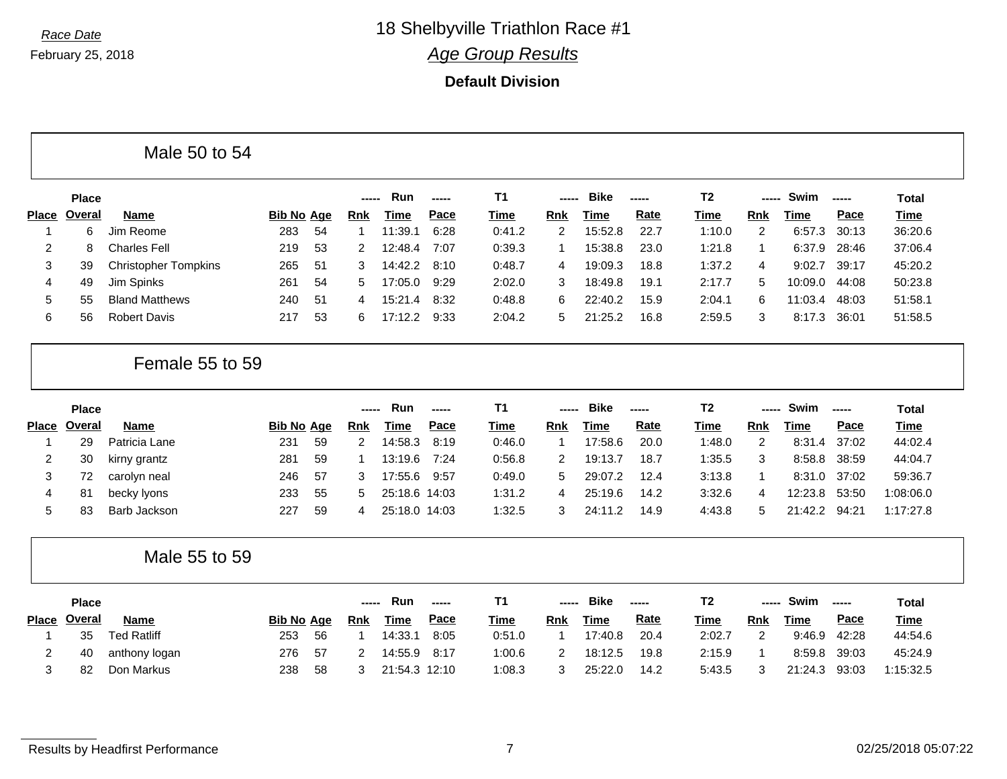|                   |               | Male 50 to 54               |                   |    |                |               |               |                |                |             |        |                |                |             |             |                                              |
|-------------------|---------------|-----------------------------|-------------------|----|----------------|---------------|---------------|----------------|----------------|-------------|--------|----------------|----------------|-------------|-------------|----------------------------------------------|
|                   | Place         |                             |                   |    |                | Run           | ------        | T <sub>1</sub> |                | <b>Bike</b> | -----  | T <sub>2</sub> |                | Swim        | -----       | <b>Total</b>                                 |
| <b>Place</b>      | <b>Overal</b> | <b>Name</b>                 | <b>Bib No Age</b> |    | Rnk            | <b>Time</b>   | Pace          | <b>Time</b>    | <b>Rnk</b>     | <b>Time</b> | Rate   | Time           | <b>Rnk</b>     | Time        | Pace        | <b>Time</b>                                  |
| -1                | 6             | Jim Reome                   | 283               | 54 | $\mathbf 1$    | 11:39.1       | 6:28          | 0:41.2         | $\overline{2}$ | 15:52.8     | 22.7   | 1:10.0         | 2              | 6:57.3      | 30:13       | 36:20.6                                      |
| 2                 | 8             | <b>Charles Fell</b>         | 219               | 53 | $\overline{2}$ | 12:48.4       | 7:07          | 0:39.3         | $\mathbf 1$    | 15:38.8     | 23.0   | 1:21.8         | 1              | 6:37.9      | 28:46       | 37:06.4                                      |
| 3                 | 39            | <b>Christopher Tompkins</b> | 265               | 51 | 3              | 14:42.2       | 8:10          | 0:48.7         | $\overline{4}$ | 19:09.3     | 18.8   | 1:37.2         | 4              | 9:02.7      | 39:17       | 45:20.2                                      |
| 4                 | 49            | Jim Spinks                  | 261               | 54 | 5              | 17:05.0       | 9:29          | 2:02.0         | 3              | 18:49.8     | 19.1   | 2:17.7         | 5              | 10:09.0     | 44:08       | 50:23.8                                      |
| 5                 | 55            | <b>Bland Matthews</b>       | 240               | 51 | 4              | 15:21.4       | 8:32          | 0:48.8         | 6              | 22:40.2     | 15.9   | 2:04.1         | 6              | 11:03.4     | 48:03       | 51:58.1                                      |
| 6                 | 56            | <b>Robert Davis</b>         | 217               | 53 | 6              | 17:12.2       | 9:33          | 2:04.2         | 5              | 21:25.2     | 16.8   | 2:59.5         | 3              | 8:17.3      | 36:01       | 51:58.5                                      |
|                   |               | Female 55 to 59             |                   |    |                |               |               |                |                |             |        |                |                |             |             |                                              |
|                   | <b>Place</b>  |                             |                   |    | -----          | Run           | -----         | T <sub>1</sub> | -----          | <b>Bike</b> | -----  | T <sub>2</sub> | -----          | Swim        | -----       | <b>Total</b>                                 |
| <b>Place</b>      | <b>Overal</b> | <b>Name</b>                 | <b>Bib No Age</b> |    | Rnk            | <b>Time</b>   | <b>Pace</b>   | <b>Time</b>    | <b>Rnk</b>     | <b>Time</b> | Rate   | Time           | Rnk            | <b>Time</b> | Pace        | <b>Time</b>                                  |
| -1                |               |                             |                   |    |                |               |               |                |                |             |        |                |                |             | 37:02       | 44:02.4                                      |
|                   | 29            | Patricia Lane               | 231               | 59 | $\overline{2}$ | 14:58.3       | 8:19          | 0:46.0         | $\mathbf{1}$   | 17:58.6     | 20.0   | 1:48.0         | $\overline{2}$ | 8:31.4      |             |                                              |
| 2                 | 30            | kirny grantz                | 281               | 59 |                | 13:19.6       | 7:24          | 0:56.8         | 2              | 19:13.7     | 18.7   | 1:35.5         | 3              | 8:58.8      | 38:59       |                                              |
| 3                 | 72            | carolyn neal                | 246               | 57 | 3              | 17:55.6       | 9:57          | 0:49.0         | 5              | 29:07.2     | 12.4   | 3:13.8         | $\mathbf{1}$   | 8:31.0      | 37:02       | 44:04.7<br>59:36.7                           |
| 4                 | 81            | becky lyons                 | 233               | 55 | 5              | 25:18.6 14:03 |               | 1:31.2         | $\overline{4}$ | 25:19.6     | 14.2   | 3:32.6         | 4              | 12:23.8     | 53:50       |                                              |
| 5                 | 83            | Barb Jackson                | 227               | 59 | 4              | 25:18.0 14:03 |               | 1:32.5         | 3              | 24:11.2     | 14.9   | 4:43.8         | 5              | 21:42.2     | 94:21       |                                              |
|                   |               | Male 55 to 59               |                   |    |                |               |               |                |                |             |        |                |                |             |             |                                              |
|                   | <b>Place</b>  |                             |                   |    | -----          | Run           | $\frac{1}{2}$ | T <sub>1</sub> | -----          | <b>Bike</b> | ------ | T <sub>2</sub> | -----          | Swim        | $- - - - -$ | <b>Total</b>                                 |
|                   | <b>Overal</b> | <b>Name</b>                 | <b>Bib No Age</b> |    | <b>Rnk</b>     | <b>Time</b>   | <b>Pace</b>   | <b>Time</b>    | <b>Rnk</b>     | <b>Time</b> | Rate   | <b>Time</b>    | Rnk            | <b>Time</b> | Pace        | <b>Time</b>                                  |
|                   | 35            | <b>Ted Ratliff</b>          | 253               | 56 | $\mathbf 1$    | 14:33.1       | 8:05          | 0:51.0         | $\mathbf 1$    | 17:40.8     | 20.4   | 2:02.7         | $\overline{c}$ | 9:46.9      | 42:28       |                                              |
| <b>Place</b><br>2 | 40            | anthony logan               | 276               | 57 | 2              | 14:55.9       | 8:17          | 1:00.6         | $\overline{2}$ | 18:12.5     | 19.8   | 2:15.9         | 1              | 8:59.8      | 39:03       | 1:08:06.0<br>1:17:27.8<br>44:54.6<br>45:24.9 |